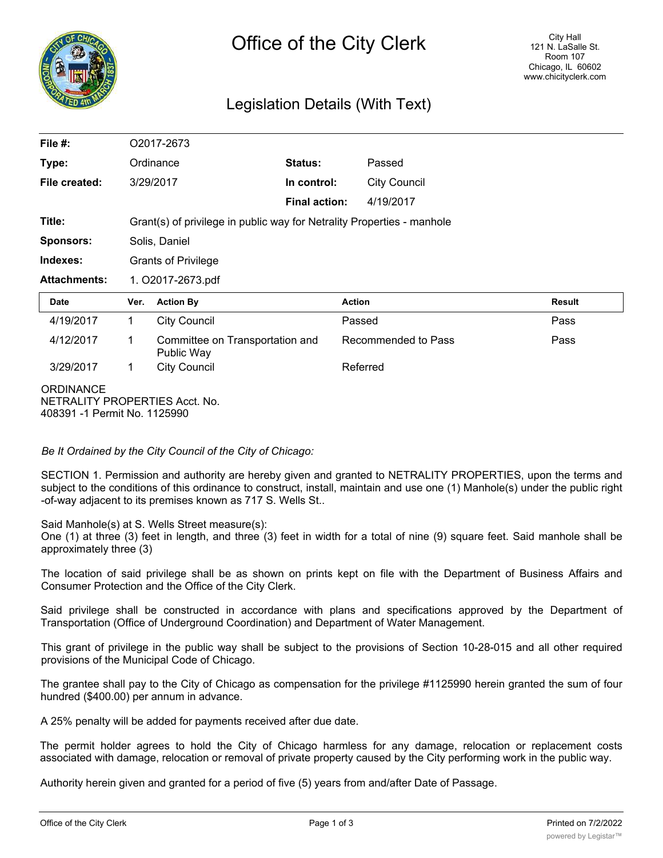

# Legislation Details (With Text)

| File $#$ :                                                                         | O2017-2673                                                             |                     |                      |                     |                     |               |
|------------------------------------------------------------------------------------|------------------------------------------------------------------------|---------------------|----------------------|---------------------|---------------------|---------------|
| Type:                                                                              | Ordinance                                                              |                     | Status:              |                     | Passed              |               |
| File created:                                                                      | 3/29/2017                                                              |                     | In control:          |                     | <b>City Council</b> |               |
|                                                                                    |                                                                        |                     | <b>Final action:</b> |                     | 4/19/2017           |               |
| Title:                                                                             | Grant(s) of privilege in public way for Netrality Properties - manhole |                     |                      |                     |                     |               |
| <b>Sponsors:</b>                                                                   | Solis, Daniel                                                          |                     |                      |                     |                     |               |
| Indexes:                                                                           | <b>Grants of Privilege</b>                                             |                     |                      |                     |                     |               |
| <b>Attachments:</b>                                                                | 1. O2017-2673.pdf                                                      |                     |                      |                     |                     |               |
| <b>Date</b>                                                                        | Ver.                                                                   | <b>Action By</b>    |                      | <b>Action</b>       |                     | <b>Result</b> |
| 4/19/2017                                                                          | $\mathbf 1$                                                            | <b>City Council</b> |                      | Passed              |                     | Pass          |
| 4/12/2017                                                                          | Committee on Transportation and<br>1<br>Public Way                     |                     |                      | Recommended to Pass |                     | Pass          |
| 3/29/2017                                                                          | 1                                                                      | <b>City Council</b> |                      | Referred            |                     |               |
| <b>ORDINANCE</b><br>NETRALITY PROPERTIES Acct. No.<br>408391 -1 Permit No. 1125990 |                                                                        |                     |                      |                     |                     |               |

*Be It Ordained by the City Council of the City of Chicago:*

SECTION 1. Permission and authority are hereby given and granted to NETRALITY PROPERTIES, upon the terms and subject to the conditions of this ordinance to construct, install, maintain and use one (1) Manhole(s) under the public right -of-way adjacent to its premises known as 717 S. Wells St..

Said Manhole(s) at S. Wells Street measure(s):

One (1) at three (3) feet in length, and three (3) feet in width for a total of nine (9) square feet. Said manhole shall be approximately three (3)

The location of said privilege shall be as shown on prints kept on file with the Department of Business Affairs and Consumer Protection and the Office of the City Clerk.

Said privilege shall be constructed in accordance with plans and specifications approved by the Department of Transportation (Office of Underground Coordination) and Department of Water Management.

This grant of privilege in the public way shall be subject to the provisions of Section 10-28-015 and all other required provisions of the Municipal Code of Chicago.

The grantee shall pay to the City of Chicago as compensation for the privilege #1125990 herein granted the sum of four hundred (\$400.00) per annum in advance.

A 25% penalty will be added for payments received after due date.

The permit holder agrees to hold the City of Chicago harmless for any damage, relocation or replacement costs associated with damage, relocation or removal of private property caused by the City performing work in the public way.

Authority herein given and granted for a period of five (5) years from and/after Date of Passage.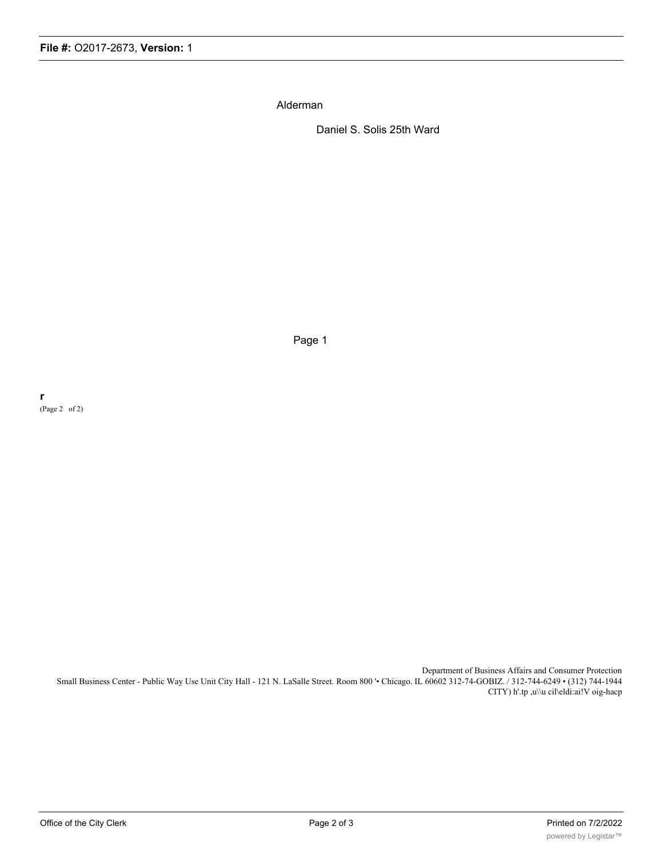Alderman

Daniel S. Solis 25th Ward

Page 1

**r** (Page 2 of 2)

> Department of Business Affairs and Consumer Protection Small Business Center - Public Way Use Unit City Hall - 121 N. LaSalle Street. Room 800 '• Chicago. IL 60602 312-74-GOBIZ. / 312-744-6249 • (312) 744-1944 CITY) h'.tp ,u\\u cil\eldi:ai!V oig-hacp